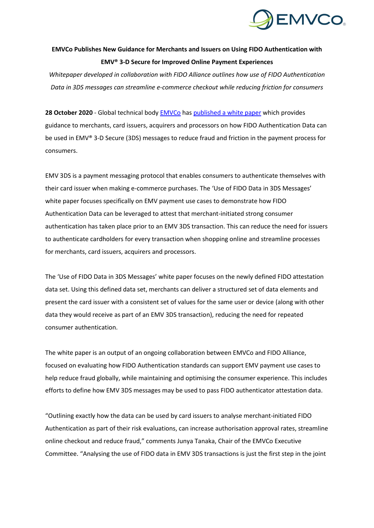

## **EMVCo Publishes New Guidance for Merchants and Issuers on Using FIDO Authentication with EMV® 3-D Secure for Improved Online Payment Experiences**

*Whitepaper developed in collaboration with FIDO Alliance outlines how use of FIDO Authentication Data in 3DS messages can streamline e-commerce checkout while reducing friction for consumers*

**28 October 2020** - Global technical body [EMVCo](http://www.emvco.com/) has [published a white paper](https://www.emvco.com/emv-technologies/3d-secure/) which provides guidance to merchants, card issuers, acquirers and processors on how FIDO Authentication Data can be used in EMV® 3-D Secure (3DS) messages to reduce fraud and friction in the payment process for consumers.

EMV 3DS is a payment messaging protocol that enables consumers to authenticate themselves with their card issuer when making e-commerce purchases. The 'Use of FIDO Data in 3DS Messages' white paper focuses specifically on EMV payment use cases to demonstrate how FIDO Authentication Data can be leveraged to attest that merchant-initiated strong consumer authentication has taken place prior to an EMV 3DS transaction. This can reduce the need for issuers to authenticate cardholders for every transaction when shopping online and streamline processes for merchants, card issuers, acquirers and processors.

The 'Use of FIDO Data in 3DS Messages' white paper focuses on the newly defined FIDO attestation data set. Using this defined data set, merchants can deliver a structured set of data elements and present the card issuer with a consistent set of values for the same user or device (along with other data they would receive as part of an EMV 3DS transaction), reducing the need for repeated consumer authentication.

The white paper is an output of an ongoing collaboration between EMVCo and FIDO Alliance, focused on evaluating how FIDO Authentication standards can support EMV payment use cases to help reduce fraud globally, while maintaining and optimising the consumer experience. This includes efforts to define how EMV 3DS messages may be used to pass FIDO authenticator attestation data.

"Outlining exactly how the data can be used by card issuers to analyse merchant-initiated FIDO Authentication as part of their risk evaluations, can increase authorisation approval rates, streamline online checkout and reduce fraud," comments Junya Tanaka, Chair of the EMVCo Executive Committee. "Analysing the use of FIDO data in EMV 3DS transactions is just the first step in the joint